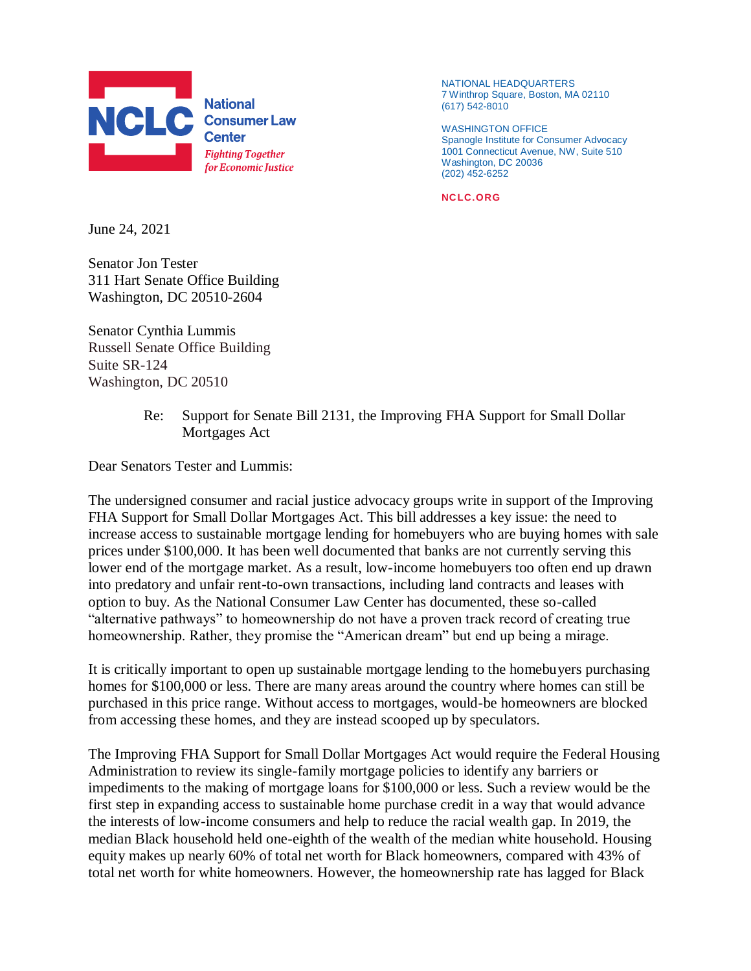

NATIONAL HEADQUARTERS 7 Winthrop Square, Boston, MA 02110 (617) 542-8010

WASHINGTON OFFICE Spanogle Institute for Consumer Advocacy 1001 Connecticut Avenue, NW, Suite 510 Washington, DC 20036 (202) 452-6252

**NCLC.ORG**

June 24, 2021

Senator Jon Tester 311 Hart Senate Office Building Washington, DC 20510-2604

Senator Cynthia Lummis Russell Senate Office Building Suite SR-124 Washington, DC 20510

## Re: Support for Senate Bill 2131, the Improving FHA Support for Small Dollar Mortgages Act

Dear Senators Tester and Lummis:

The undersigned consumer and racial justice advocacy groups write in support of the Improving FHA Support for Small Dollar Mortgages Act. This bill addresses a key issue: the need to increase access to sustainable mortgage lending for homebuyers who are buying homes with sale prices under \$100,000. It has been well documented that banks are not currently serving this lower end of the mortgage market. As a result, low-income homebuyers too often end up drawn into predatory and unfair rent-to-own transactions, including land contracts and leases with option to buy. As the National Consumer Law Center has documented, these so-called "alternative pathways" to homeownership do not have a proven track record of creating true homeownership. Rather, they promise the "American dream" but end up being a mirage.

It is critically important to open up sustainable mortgage lending to the homebuyers purchasing homes for \$100,000 or less. There are many areas around the country where homes can still be purchased in this price range. Without access to mortgages, would-be homeowners are blocked from accessing these homes, and they are instead scooped up by speculators.

The Improving FHA Support for Small Dollar Mortgages Act would require the Federal Housing Administration to review its single-family mortgage policies to identify any barriers or impediments to the making of mortgage loans for \$100,000 or less. Such a review would be the first step in expanding access to sustainable home purchase credit in a way that would advance the interests of low-income consumers and help to reduce the racial wealth gap. In 2019, the median Black household held one-eighth of the wealth of the median white household. Housing equity makes up nearly 60% of total net worth for Black homeowners, compared with 43% of total net worth for white homeowners. However, the homeownership rate has lagged for Black